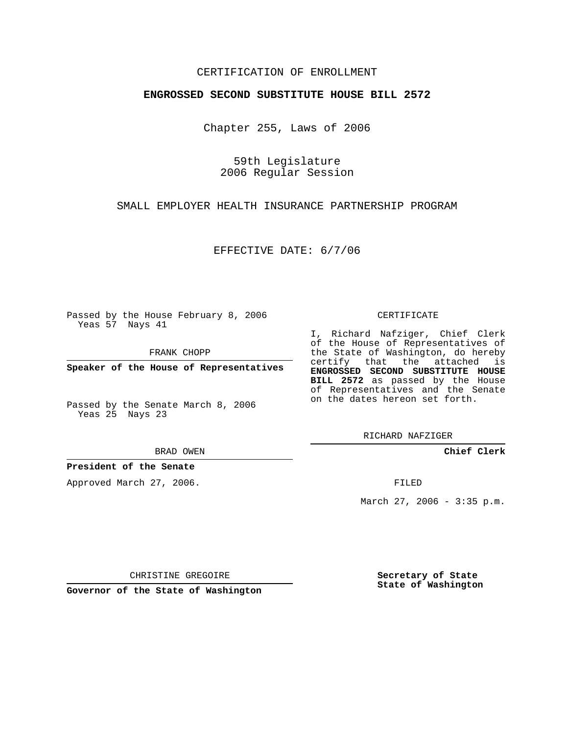## CERTIFICATION OF ENROLLMENT

## **ENGROSSED SECOND SUBSTITUTE HOUSE BILL 2572**

Chapter 255, Laws of 2006

59th Legislature 2006 Regular Session

SMALL EMPLOYER HEALTH INSURANCE PARTNERSHIP PROGRAM

EFFECTIVE DATE: 6/7/06

Passed by the House February 8, 2006 Yeas 57 Nays 41

FRANK CHOPP

**Speaker of the House of Representatives**

Passed by the Senate March 8, 2006 Yeas 25 Nays 23

BRAD OWEN

**President of the Senate**

Approved March 27, 2006.

CERTIFICATE

I, Richard Nafziger, Chief Clerk of the House of Representatives of the State of Washington, do hereby certify that the attached is **ENGROSSED SECOND SUBSTITUTE HOUSE BILL 2572** as passed by the House of Representatives and the Senate on the dates hereon set forth.

RICHARD NAFZIGER

**Chief Clerk**

FILED

March 27, 2006 - 3:35 p.m.

CHRISTINE GREGOIRE

**Governor of the State of Washington**

**Secretary of State State of Washington**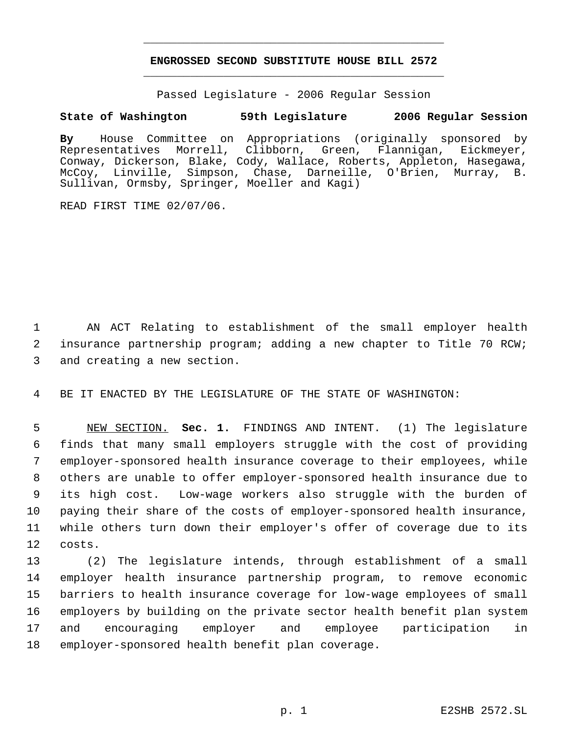## **ENGROSSED SECOND SUBSTITUTE HOUSE BILL 2572** \_\_\_\_\_\_\_\_\_\_\_\_\_\_\_\_\_\_\_\_\_\_\_\_\_\_\_\_\_\_\_\_\_\_\_\_\_\_\_\_\_\_\_\_\_

\_\_\_\_\_\_\_\_\_\_\_\_\_\_\_\_\_\_\_\_\_\_\_\_\_\_\_\_\_\_\_\_\_\_\_\_\_\_\_\_\_\_\_\_\_

Passed Legislature - 2006 Regular Session

## **State of Washington 59th Legislature 2006 Regular Session**

**By** House Committee on Appropriations (originally sponsored by Representatives Morrell, Clibborn, Green, Flannigan, Eickmeyer, Conway, Dickerson, Blake, Cody, Wallace, Roberts, Appleton, Hasegawa, McCoy, Linville, Simpson, Chase, Darneille, O'Brien, Murray, B. Sullivan, Ormsby, Springer, Moeller and Kagi)

READ FIRST TIME 02/07/06.

 1 AN ACT Relating to establishment of the small employer health 2 insurance partnership program; adding a new chapter to Title 70 RCW; 3 and creating a new section.

4 BE IT ENACTED BY THE LEGISLATURE OF THE STATE OF WASHINGTON:

 NEW SECTION. **Sec. 1.** FINDINGS AND INTENT. (1) The legislature finds that many small employers struggle with the cost of providing employer-sponsored health insurance coverage to their employees, while others are unable to offer employer-sponsored health insurance due to its high cost. Low-wage workers also struggle with the burden of paying their share of the costs of employer-sponsored health insurance, while others turn down their employer's offer of coverage due to its 12 costs.

 (2) The legislature intends, through establishment of a small employer health insurance partnership program, to remove economic barriers to health insurance coverage for low-wage employees of small employers by building on the private sector health benefit plan system and encouraging employer and employee participation in employer-sponsored health benefit plan coverage.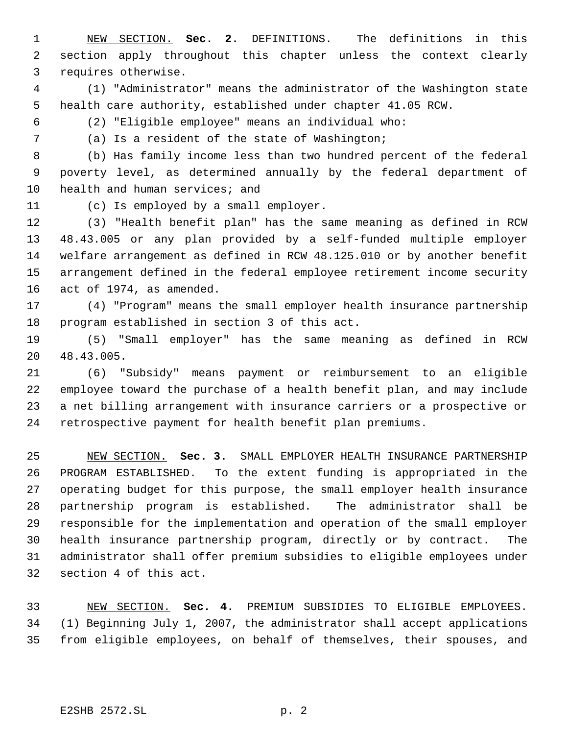NEW SECTION. **Sec. 2.** DEFINITIONS. The definitions in this section apply throughout this chapter unless the context clearly requires otherwise.

 (1) "Administrator" means the administrator of the Washington state health care authority, established under chapter 41.05 RCW.

(2) "Eligible employee" means an individual who:

(a) Is a resident of the state of Washington;

 (b) Has family income less than two hundred percent of the federal poverty level, as determined annually by the federal department of 10 health and human services; and

(c) Is employed by a small employer.

 (3) "Health benefit plan" has the same meaning as defined in RCW 48.43.005 or any plan provided by a self-funded multiple employer welfare arrangement as defined in RCW 48.125.010 or by another benefit arrangement defined in the federal employee retirement income security act of 1974, as amended.

 (4) "Program" means the small employer health insurance partnership program established in section 3 of this act.

 (5) "Small employer" has the same meaning as defined in RCW 48.43.005.

 (6) "Subsidy" means payment or reimbursement to an eligible employee toward the purchase of a health benefit plan, and may include a net billing arrangement with insurance carriers or a prospective or retrospective payment for health benefit plan premiums.

 NEW SECTION. **Sec. 3.** SMALL EMPLOYER HEALTH INSURANCE PARTNERSHIP PROGRAM ESTABLISHED. To the extent funding is appropriated in the operating budget for this purpose, the small employer health insurance partnership program is established. The administrator shall be responsible for the implementation and operation of the small employer health insurance partnership program, directly or by contract. The administrator shall offer premium subsidies to eligible employees under section 4 of this act.

 NEW SECTION. **Sec. 4.** PREMIUM SUBSIDIES TO ELIGIBLE EMPLOYEES. (1) Beginning July 1, 2007, the administrator shall accept applications from eligible employees, on behalf of themselves, their spouses, and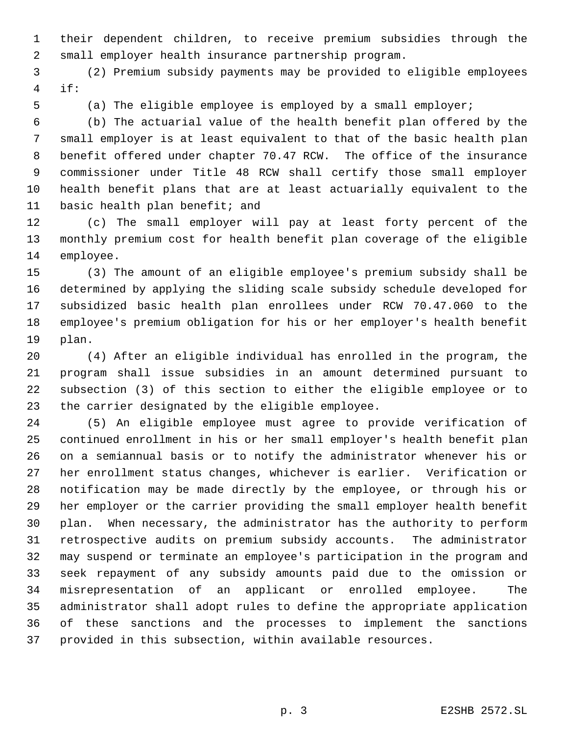their dependent children, to receive premium subsidies through the small employer health insurance partnership program.

 (2) Premium subsidy payments may be provided to eligible employees if:

(a) The eligible employee is employed by a small employer;

 (b) The actuarial value of the health benefit plan offered by the small employer is at least equivalent to that of the basic health plan benefit offered under chapter 70.47 RCW. The office of the insurance commissioner under Title 48 RCW shall certify those small employer health benefit plans that are at least actuarially equivalent to the basic health plan benefit; and

 (c) The small employer will pay at least forty percent of the monthly premium cost for health benefit plan coverage of the eligible employee.

 (3) The amount of an eligible employee's premium subsidy shall be determined by applying the sliding scale subsidy schedule developed for subsidized basic health plan enrollees under RCW 70.47.060 to the employee's premium obligation for his or her employer's health benefit plan.

 (4) After an eligible individual has enrolled in the program, the program shall issue subsidies in an amount determined pursuant to subsection (3) of this section to either the eligible employee or to the carrier designated by the eligible employee.

 (5) An eligible employee must agree to provide verification of continued enrollment in his or her small employer's health benefit plan on a semiannual basis or to notify the administrator whenever his or her enrollment status changes, whichever is earlier. Verification or notification may be made directly by the employee, or through his or her employer or the carrier providing the small employer health benefit plan. When necessary, the administrator has the authority to perform retrospective audits on premium subsidy accounts. The administrator may suspend or terminate an employee's participation in the program and seek repayment of any subsidy amounts paid due to the omission or misrepresentation of an applicant or enrolled employee. The administrator shall adopt rules to define the appropriate application of these sanctions and the processes to implement the sanctions provided in this subsection, within available resources.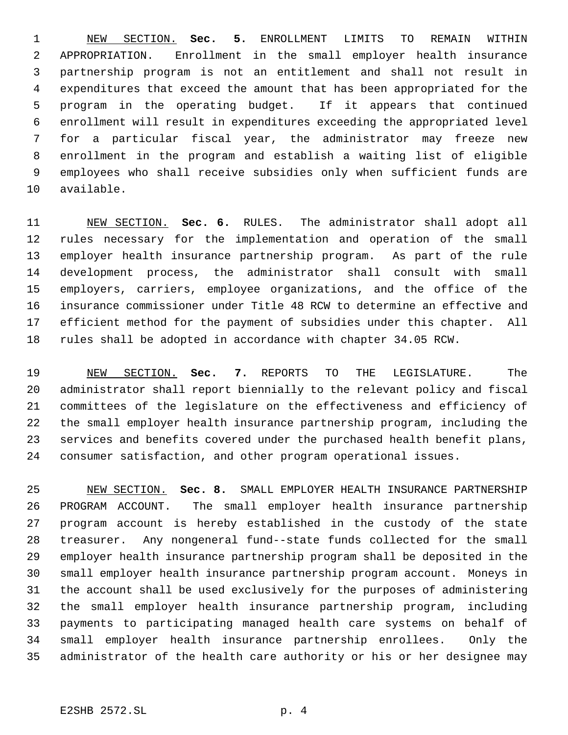NEW SECTION. **Sec. 5.** ENROLLMENT LIMITS TO REMAIN WITHIN APPROPRIATION. Enrollment in the small employer health insurance partnership program is not an entitlement and shall not result in expenditures that exceed the amount that has been appropriated for the program in the operating budget. If it appears that continued enrollment will result in expenditures exceeding the appropriated level for a particular fiscal year, the administrator may freeze new enrollment in the program and establish a waiting list of eligible employees who shall receive subsidies only when sufficient funds are available.

 NEW SECTION. **Sec. 6.** RULES. The administrator shall adopt all rules necessary for the implementation and operation of the small employer health insurance partnership program. As part of the rule development process, the administrator shall consult with small employers, carriers, employee organizations, and the office of the insurance commissioner under Title 48 RCW to determine an effective and efficient method for the payment of subsidies under this chapter. All rules shall be adopted in accordance with chapter 34.05 RCW.

 NEW SECTION. **Sec. 7.** REPORTS TO THE LEGISLATURE. The administrator shall report biennially to the relevant policy and fiscal committees of the legislature on the effectiveness and efficiency of the small employer health insurance partnership program, including the services and benefits covered under the purchased health benefit plans, consumer satisfaction, and other program operational issues.

 NEW SECTION. **Sec. 8.** SMALL EMPLOYER HEALTH INSURANCE PARTNERSHIP PROGRAM ACCOUNT. The small employer health insurance partnership program account is hereby established in the custody of the state treasurer. Any nongeneral fund--state funds collected for the small employer health insurance partnership program shall be deposited in the small employer health insurance partnership program account. Moneys in the account shall be used exclusively for the purposes of administering the small employer health insurance partnership program, including payments to participating managed health care systems on behalf of small employer health insurance partnership enrollees. Only the administrator of the health care authority or his or her designee may